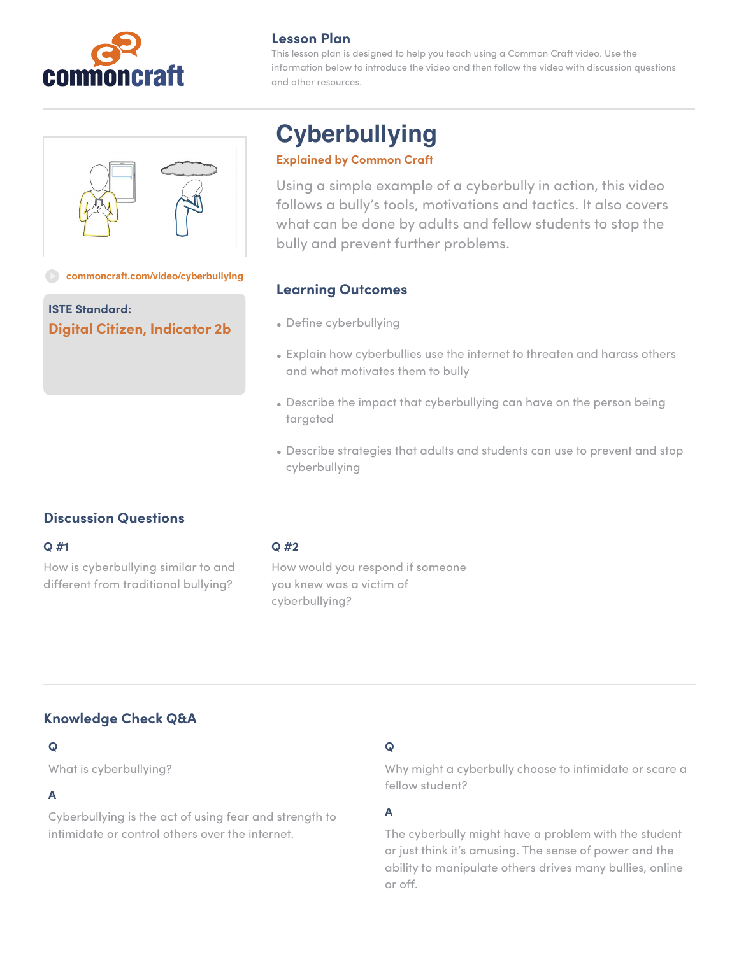

## **Lesson Plan**

This lesson plan is designed to help you teach using a Common Craft video. Use the information below to introduce the video and then follow the video with discussion questions and other resources.

#### **[commoncraft.com/video/cyberbullying](http://commoncraft.com/video/wikis)**

**ISTE Standard: Digital Citizen, Indicator 2b**

# **Cyberbullying**

#### **Explained by Common Craft**

Using a simple example of a cyberbully in action, this video follows a bully's tools, motivations and tactics. It also covers what can be done by adults and fellow students to stop the bully and prevent further problems.

# **Learning Outcomes**

- Define cyberbullying
- Explain how cyberbullies use the internet to threaten and harass others and what motivates them to bully
- Describe the impact that cyberbullying can have on the person being targeted
- Describe strategies that adults and students can use to prevent and stop cyberbullying

# **Discussion Questions**

#### **Q #1**

How is cyberbullying similar to and different from traditional bullying?

#### **Q #2**

How would you respond if someone you knew was a victim of cyberbullying?

# **Knowledge Check Q&A**

## **Q**

What is cyberbullying?

# **A**

Cyberbullying is the act of using fear and strength to intimidate or control others over the internet.

## **Q**

Why might a cyberbully choose to intimidate or scare a fellow student?

#### **A**

The cyberbully might have a problem with the student or just think it's amusing. The sense of power and the ability to manipulate others drives many bullies, online or off.